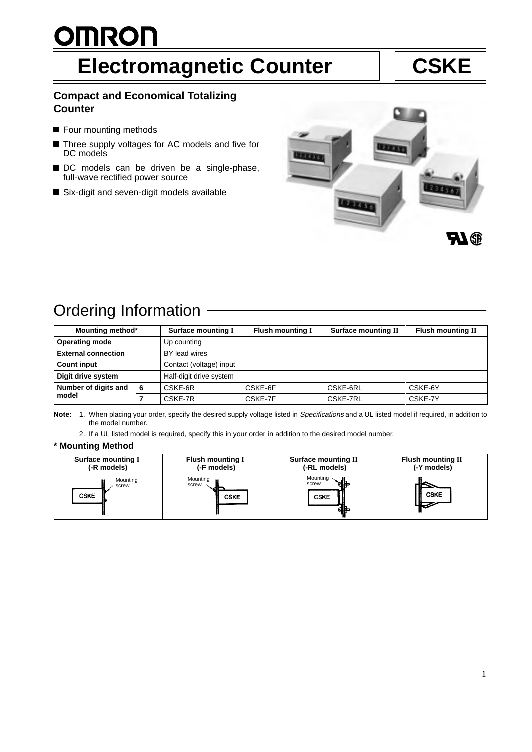# <u>OMRON</u> **Electromagnetic Counter | CSKE**

### **Compact and Economical Totalizing Counter**

- Four mounting methods
- Three supply voltages for AC models and five for  $\blacksquare$ DC models
- DC models can be driven be a single-phase, full-wave rectified power source
- Six-digit and seven-digit models available



## Ordering Information

| Mounting method*              |   | <b>Surface mounting I</b> | <b>Flush mounting I</b> | <b>Surface mounting II</b> | <b>Flush mounting II</b> |  |
|-------------------------------|---|---------------------------|-------------------------|----------------------------|--------------------------|--|
| <b>Operating mode</b>         |   | Up counting               |                         |                            |                          |  |
| <b>External connection</b>    |   | BY lead wires             |                         |                            |                          |  |
| <b>Count input</b>            |   | Contact (voltage) input   |                         |                            |                          |  |
| Digit drive system            |   | Half-digit drive system   |                         |                            |                          |  |
| Number of digits and<br>model | 6 | CSKE-6R                   | CSKE-6F                 | CSKE-6RL                   | CSKE-6Y                  |  |
|                               |   | CSKE-7R                   | CSKE-7F                 | CSKE-7RL                   | CSKE-7Y                  |  |

Note: 1. When placing your order, specify the desired supply voltage listed in Specifications and a UL listed model if required, in addition to the model number.

2. If a UL listed model is required, specify this in your order in addition to the desired model number.

### **\* Mounting Method**

| <b>Surface mounting I</b><br><b>Flush mounting I</b><br>(-F models)<br>(-R models) |             | <b>Surface mounting II</b><br>(-RL models) | <b>Flush mounting II</b><br>(-Y models) |
|------------------------------------------------------------------------------------|-------------|--------------------------------------------|-----------------------------------------|
| Mounting                                                                           | Mounting    | Mounting                                   | <b>CSKE</b>                             |
| screw                                                                              | screw       | screw                                      |                                         |
| <b>CSKE</b>                                                                        | <b>CSKE</b> | <b>CSKE</b>                                |                                         |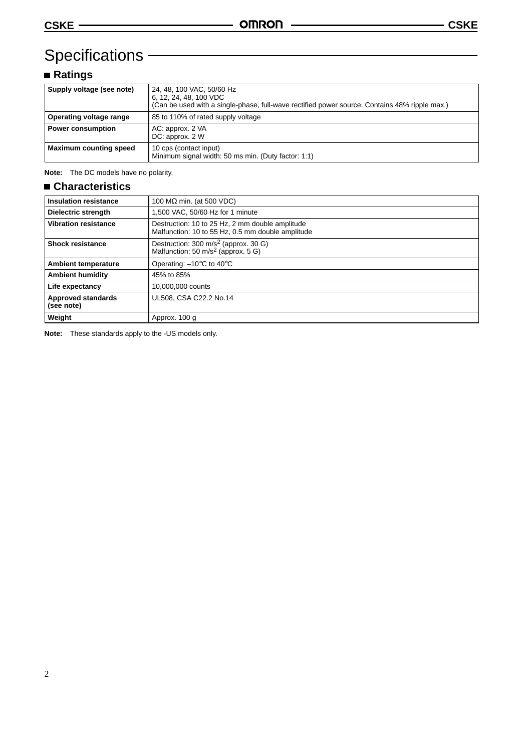# Specifications – **Example 2014**

### **Ratings**

| Supply voltage (see note)     | 24, 48, 100 VAC, 50/60 Hz<br>6, 12, 24, 48, 100 VDC<br>(Can be used with a single-phase, full-wave rectified power source. Contains 48% ripple max.) |
|-------------------------------|------------------------------------------------------------------------------------------------------------------------------------------------------|
|                               |                                                                                                                                                      |
| Operating voltage range       | 85 to 110% of rated supply voltage                                                                                                                   |
| <b>Power consumption</b>      | AC: approx. 2 VA<br>DC: approx. 2 W                                                                                                                  |
| <b>Maximum counting speed</b> | 10 cps (contact input)<br>Minimum signal width: 50 ms min. (Duty factor: 1:1)                                                                        |

**Note:** The DC models have no polarity.

### **Characteristics**

| <b>Insulation resistance</b>            | 100 $M\Omega$ min. (at 500 VDC)                                                                      |
|-----------------------------------------|------------------------------------------------------------------------------------------------------|
| Dielectric strength                     | .500 VAC, 50/60 Hz for 1 minute                                                                      |
| <b>Vibration resistance</b>             | Destruction: 10 to 25 Hz, 2 mm double amplitude<br>Malfunction: 10 to 55 Hz, 0.5 mm double amplitude |
| <b>Shock resistance</b>                 | Destruction: 300 m/s <sup>2</sup> (approx. 30 G)<br>Malfunction: 50 m/s <sup>2</sup> (approx. 5 G)   |
| <b>Ambient temperature</b>              | Operating: -10°C to 40°C                                                                             |
| <b>Ambient humidity</b>                 | 45% to 85%                                                                                           |
| Life expectancy                         | 10,000,000 counts                                                                                    |
| <b>Approved standards</b><br>(see note) | UL508, CSA C22.2 No.14                                                                               |
| Weight                                  | Approx. 100 g                                                                                        |

**Note:** These standards apply to the -US models only.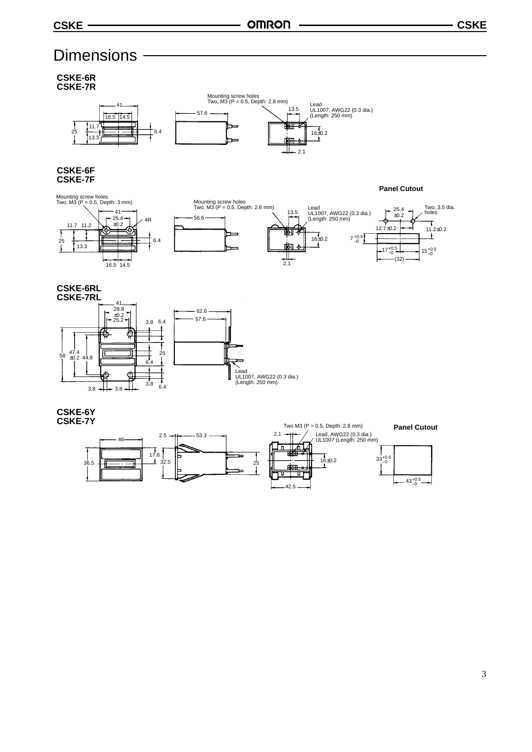# **Dimensions**

**CSKE-6R CSKE-7R**



### **CSKE-6F CSKE-7F**







 $7^{+0.5}_{-0}$ 

**Panel Cutout**

**CSKE-6RL CSKE-7RL**



**CSKE-6Y CSKE-7Y**